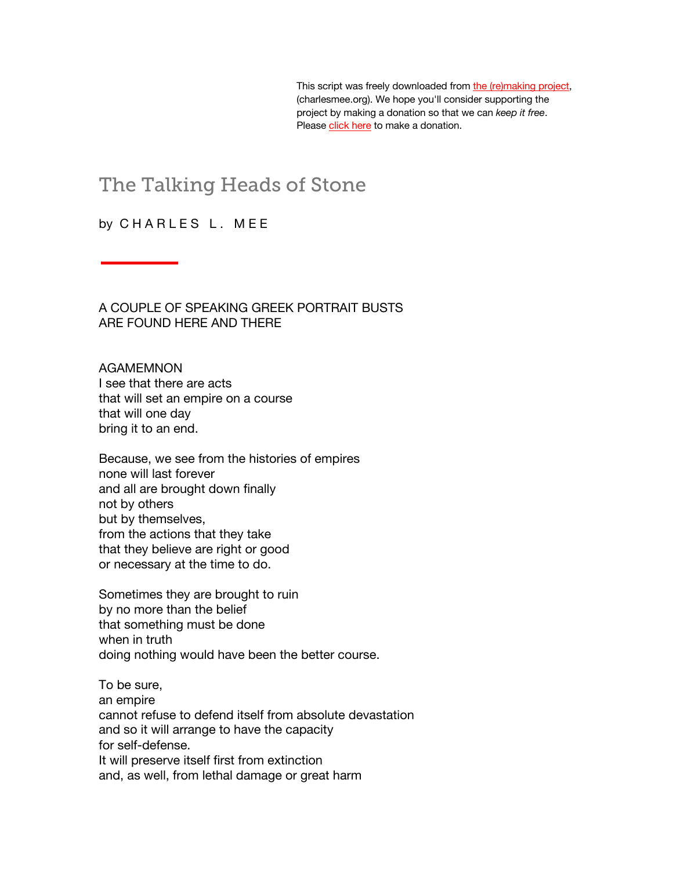This script was freely downloaded from [the \(re\)making project,](http://www.charlesmee.org/)  (charlesmee.org). We hope you'll consider supporting the project by making a donation so that we can *keep it free*. Please [click](http://www.charlesmee.org/support-the-project.shtml) here to make a donation.

## The Talking Heads of Stone

## by CHARLES L. MEE

A COUPLE OF SPEAKING GREEK PORTRAIT BUSTS ARE FOUND HERE AND THERE

AGAMEMNON I see that there are acts that will set an empire on a course that will one day bring it to an end.

Because, we see from the histories of empires none will last forever and all are brought down finally not by others but by themselves, from the actions that they take that they believe are right or good or necessary at the time to do.

Sometimes they are brought to ruin by no more than the belief that something must be done when in truth doing nothing would have been the better course.

To be sure, an empire cannot refuse to defend itself from absolute devastation and so it will arrange to have the capacity for self-defense. It will preserve itself first from extinction and, as well, from lethal damage or great harm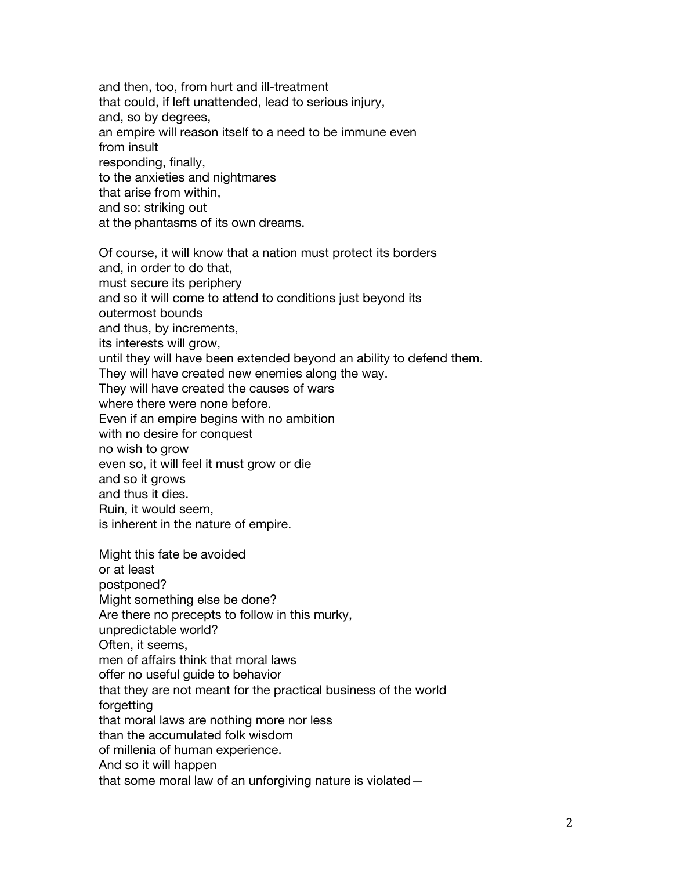and then, too, from hurt and ill-treatment that could, if left unattended, lead to serious injury, and, so by degrees, an empire will reason itself to a need to be immune even from insult responding, finally, to the anxieties and nightmares that arise from within, and so: striking out at the phantasms of its own dreams. Of course, it will know that a nation must protect its borders and, in order to do that, must secure its periphery and so it will come to attend to conditions just beyond its outermost bounds and thus, by increments, its interests will grow, until they will have been extended beyond an ability to defend them. They will have created new enemies along the way. They will have created the causes of wars where there were none before. Even if an empire begins with no ambition

with no desire for conquest

no wish to grow

even so, it will feel it must grow or die

and so it grows

and thus it dies.

Ruin, it would seem,

is inherent in the nature of empire.

Might this fate be avoided or at least postponed? Might something else be done? Are there no precepts to follow in this murky, unpredictable world? Often, it seems, men of affairs think that moral laws offer no useful guide to behavior that they are not meant for the practical business of the world forgetting that moral laws are nothing more nor less than the accumulated folk wisdom of millenia of human experience. And so it will happen that some moral law of an unforgiving nature is violated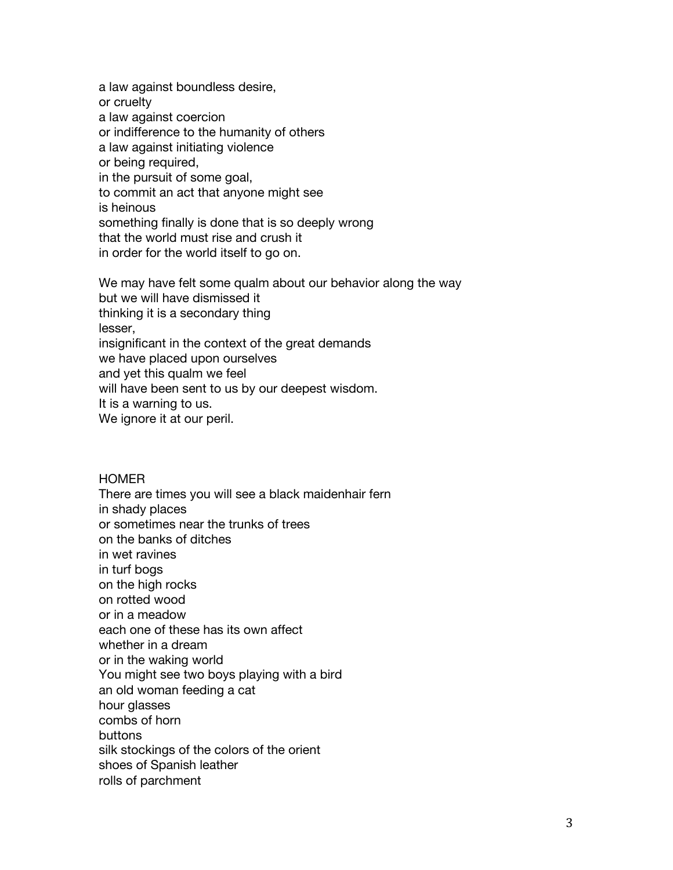a law against boundless desire, or cruelty a law against coercion or indifference to the humanity of others a law against initiating violence or being required, in the pursuit of some goal, to commit an act that anyone might see is heinous something finally is done that is so deeply wrong that the world must rise and crush it in order for the world itself to go on. We may have felt some qualm about our behavior along the way

but we will have dismissed it thinking it is a secondary thing lesser, insignificant in the context of the great demands we have placed upon ourselves and yet this qualm we feel will have been sent to us by our deepest wisdom. It is a warning to us. We ignore it at our peril.

## HOMER

There are times you will see a black maidenhair fern in shady places or sometimes near the trunks of trees on the banks of ditches in wet ravines in turf bogs on the high rocks on rotted wood or in a meadow each one of these has its own affect whether in a dream or in the waking world You might see two boys playing with a bird an old woman feeding a cat hour glasses combs of horn buttons silk stockings of the colors of the orient shoes of Spanish leather rolls of parchment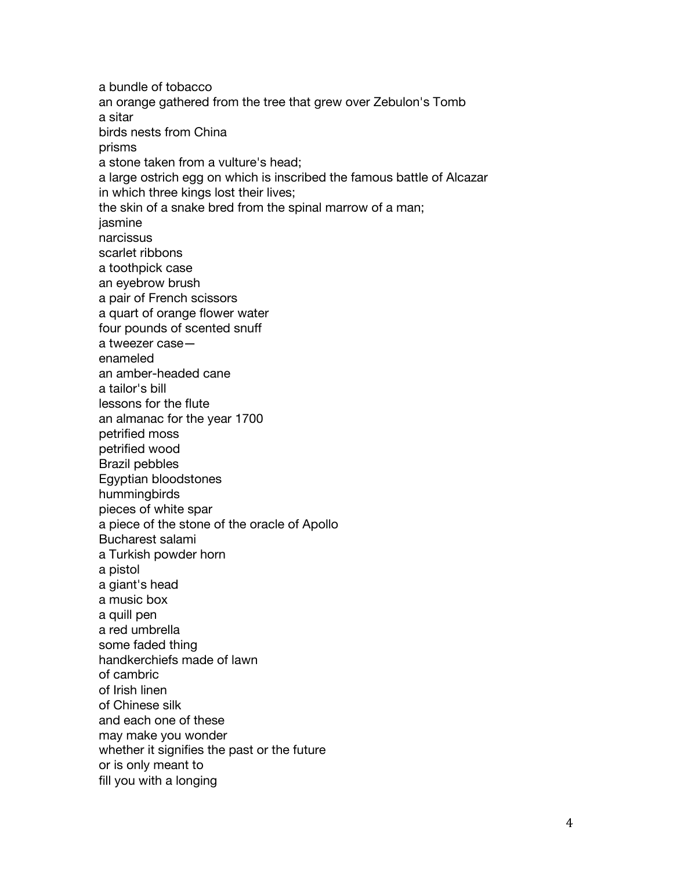a bundle of tobacco an orange gathered from the tree that grew over Zebulon's Tomb a sitar birds nests from China prisms a stone taken from a vulture's head; a large ostrich egg on which is inscribed the famous battle of Alcazar in which three kings lost their lives; the skin of a snake bred from the spinal marrow of a man; jasmine narcissus scarlet ribbons a toothpick case an eyebrow brush a pair of French scissors a quart of orange flower water four pounds of scented snuff a tweezer case enameled an amber-headed cane a tailor's bill lessons for the flute an almanac for the year 1700 petrified moss petrified wood Brazil pebbles Egyptian bloodstones hummingbirds pieces of white spar a piece of the stone of the oracle of Apollo Bucharest salami a Turkish powder horn a pistol a giant's head a music box a quill pen a red umbrella some faded thing handkerchiefs made of lawn of cambric of Irish linen of Chinese silk and each one of these may make you wonder whether it signifies the past or the future or is only meant to fill you with a longing